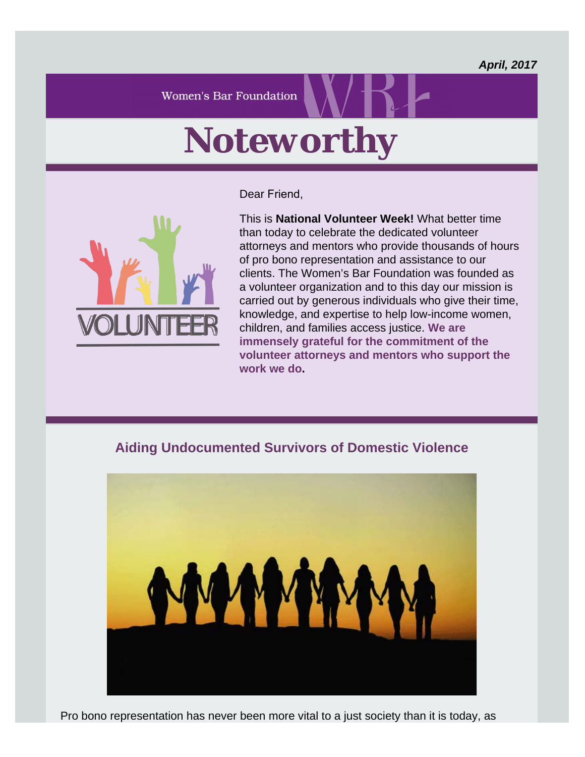*April, 2017*

**Women's Bar Foundation** 

## *Noteworthy*

Dear Friend,



This is **National Volunteer Week!** What better time than today to celebrate the dedicated volunteer attorneys and mentors who provide thousands of hours of pro bono representation and assistance to our clients. The Women's Bar Foundation was founded as a volunteer organization and to this day our mission is carried out by generous individuals who give their time, knowledge, and expertise to help low-income women, children, and families access justice. **[We are](https://wbawbf.org/content/volunteers-0) [immensely grateful for the commitment of the](https://wbawbf.org/content/volunteers-0) [volunteer attorneys and mentors who support the](https://wbawbf.org/content/volunteers-0) [work we do](https://wbawbf.org/content/volunteers-0).**

## **Aiding Undocumented Survivors of Domestic Violence**



Pro bono representation has never been more vital to a just society than it is today, as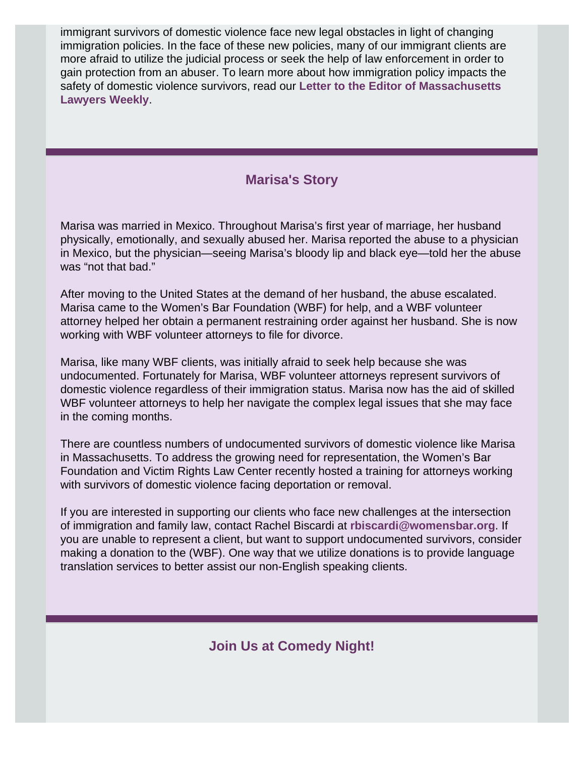immigrant survivors of domestic violence face new legal obstacles in light of changing immigration policies. In the face of these new policies, many of our immigrant clients are more afraid to utilize the judicial process or seek the help of law enforcement in order to gain protection from an abuser. To learn more about how immigration policy impacts the safety of domestic violence survivors, read our **[Letter to the Editor of Massachusetts](https://wbawbf.org/content/letter-volunteers-sought-help-undocumented-domestic-abuse-victims) [Lawyers Weekly](https://wbawbf.org/content/letter-volunteers-sought-help-undocumented-domestic-abuse-victims)**.

## **Marisa's Story**

Marisa was married in Mexico. Throughout Marisa's first year of marriage, her husband physically, emotionally, and sexually abused her. Marisa reported the abuse to a physician in Mexico, but the physician—seeing Marisa's bloody lip and black eye—told her the abuse was "not that bad."

After moving to the United States at the demand of her husband, the abuse escalated. Marisa came to the Women's Bar Foundation (WBF) for help, and a WBF volunteer attorney helped her obtain a permanent restraining order against her husband. She is now working with WBF volunteer attorneys to file for divorce.

Marisa, like many WBF clients, was initially afraid to seek help because she was undocumented. Fortunately for Marisa, WBF volunteer attorneys represent survivors of domestic violence regardless of their immigration status. Marisa now has the aid of skilled WBF volunteer attorneys to help her navigate the complex legal issues that she may face in the coming months.

There are countless numbers of undocumented survivors of domestic violence like Marisa in Massachusetts. To address the growing need for representation, the Women's Bar Foundation and Victim Rights Law Center recently hosted a training for attorneys working with survivors of domestic violence facing deportation or removal.

If you are interested in supporting our clients who face new challenges at the intersection of immigration and family law, contact Rachel Biscardi at **[rbiscardi@womensbar.org](mailto:rbiscardi@womensbar.org)**. If you are unable to represent a client, but want to support undocumented survivors, consider making a donation to the (WBF). One way that we utilize donations is to provide language translation services to better assist our non-English speaking clients.

**Join Us at Comedy Night!**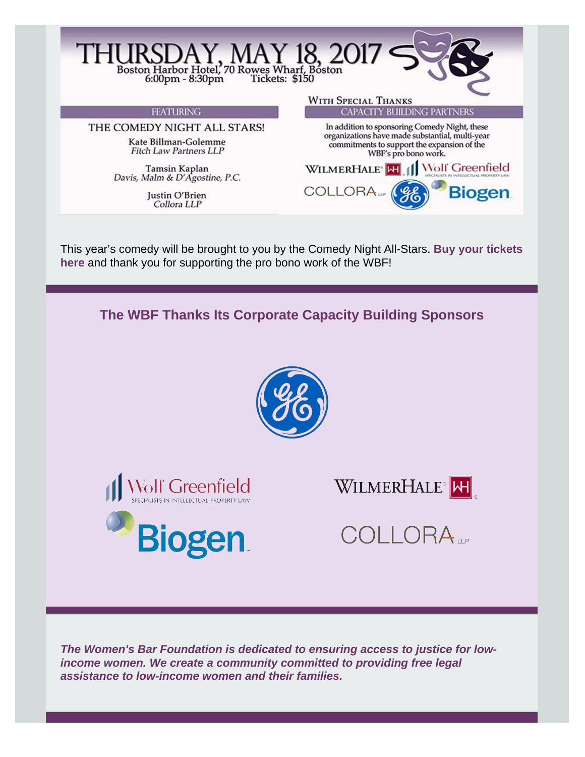

This year's comedy will be brought to you by the Comedy Night All-Stars. **[Buy your tickets](https://wbawbf.org/wbf/content/womens-bar-foundation-comedy-night) [here](https://wbawbf.org/wbf/content/womens-bar-foundation-comedy-night)** and thank you for supporting the pro bono work of the WBF!



*The Women's Bar Foundation is dedicated to ensuring access to justice for lowincome women. We create a community committed to providing free legal assistance to low-income women and their families.*